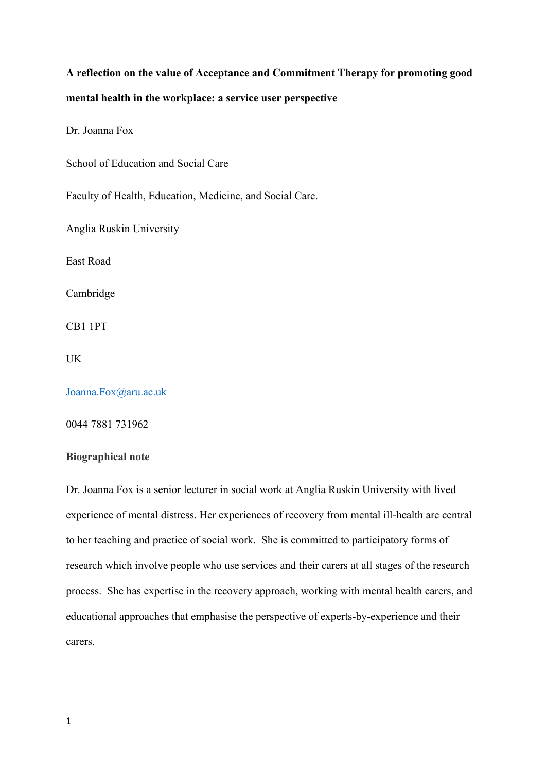# **A reflection on the value of Acceptance and Commitment Therapy for promoting good mental health in the workplace: a service user perspective**

Dr. Joanna Fox

School of Education and Social Care

Faculty of Health, Education, Medicine, and Social Care.

Anglia Ruskin University

East Road

Cambridge

CB1 1PT

UK

[Joanna.Fox@aru.ac.uk](mailto:Joanna.Fox@aru.ac.uk)

0044 7881 731962

## **Biographical note**

Dr. Joanna Fox is a senior lecturer in social work at Anglia Ruskin University with lived experience of mental distress. Her experiences of recovery from mental ill-health are central to her teaching and practice of social work. She is committed to participatory forms of research which involve people who use services and their carers at all stages of the research process. She has expertise in the recovery approach, working with mental health carers, and educational approaches that emphasise the perspective of experts-by-experience and their carers.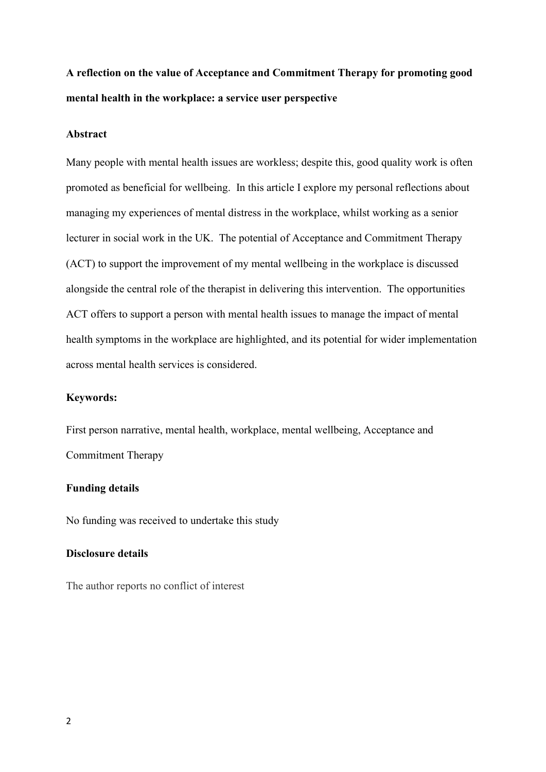# **A reflection on the value of Acceptance and Commitment Therapy for promoting good mental health in the workplace: a service user perspective**

#### **Abstract**

Many people with mental health issues are workless; despite this, good quality work is often promoted as beneficial for wellbeing. In this article I explore my personal reflections about managing my experiences of mental distress in the workplace, whilst working as a senior lecturer in social work in the UK. The potential of Acceptance and Commitment Therapy (ACT) to support the improvement of my mental wellbeing in the workplace is discussed alongside the central role of the therapist in delivering this intervention. The opportunities ACT offers to support a person with mental health issues to manage the impact of mental health symptoms in the workplace are highlighted, and its potential for wider implementation across mental health services is considered.

# **Keywords:**

First person narrative, mental health, workplace, mental wellbeing, Acceptance and Commitment Therapy

# **Funding details**

No funding was received to undertake this study

#### **Disclosure details**

The author reports no conflict of interest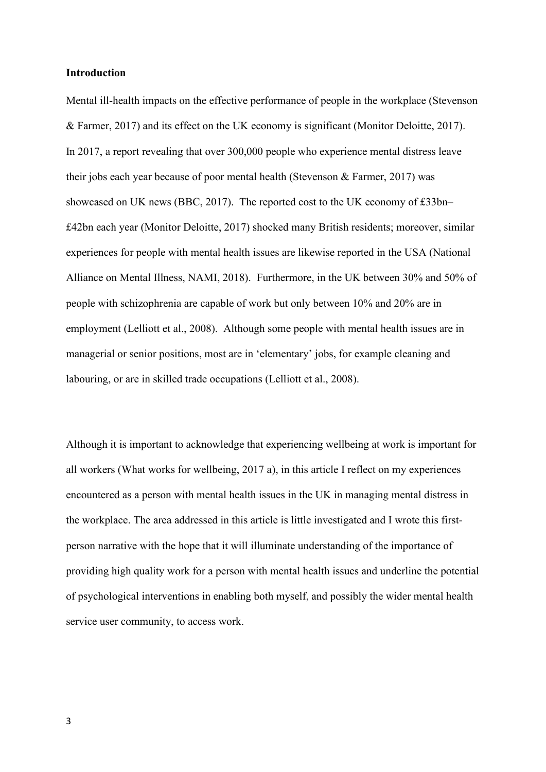#### **Introduction**

Mental ill-health impacts on the effective performance of people in the workplace (Stevenson & Farmer, 2017) and its effect on the UK economy is significant (Monitor Deloitte, 2017). In 2017, a report revealing that over 300,000 people who experience mental distress leave their jobs each year because of poor mental health (Stevenson & Farmer, 2017) was showcased on UK news (BBC, 2017). The reported cost to the UK economy of £33bn– £42bn each year (Monitor Deloitte, 2017) shocked many British residents; moreover, similar experiences for people with mental health issues are likewise reported in the USA (National Alliance on Mental Illness, NAMI, 2018). Furthermore, in the UK between 30% and 50% of people with schizophrenia are capable of work but only between 10% and 20% are in employment (Lelliott et al., 2008). Although some people with mental health issues are in managerial or senior positions, most are in 'elementary' jobs, for example cleaning and labouring, or are in skilled trade occupations (Lelliott et al., 2008).

Although it is important to acknowledge that experiencing wellbeing at work is important for all workers (What works for wellbeing, 2017 a), in this article I reflect on my experiences encountered as a person with mental health issues in the UK in managing mental distress in the workplace. The area addressed in this article is little investigated and I wrote this firstperson narrative with the hope that it will illuminate understanding of the importance of providing high quality work for a person with mental health issues and underline the potential of psychological interventions in enabling both myself, and possibly the wider mental health service user community, to access work.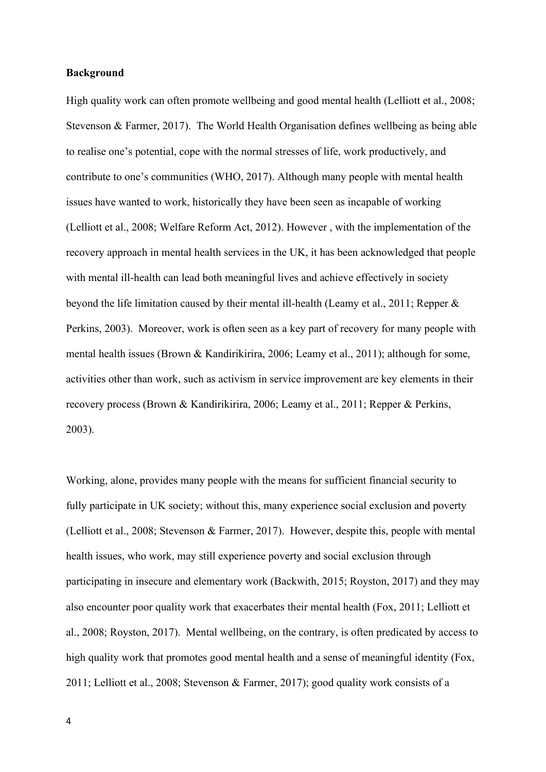### **Background**

High quality work can often promote wellbeing and good mental health (Lelliott et al., 2008; Stevenson & Farmer, 2017). The World Health Organisation defines wellbeing as being able to realise one's potential, cope with the normal stresses of life, work productively, and contribute to one's communities (WHO, 2017). Although many people with mental health issues have wanted to work, historically they have been seen as incapable of working (Lelliott et al., 2008; Welfare Reform Act, 2012). However , with the implementation of the recovery approach in mental health services in the UK, it has been acknowledged that people with mental ill-health can lead both meaningful lives and achieve effectively in society beyond the life limitation caused by their mental ill-health (Leamy et al., 2011; Repper & Perkins, 2003). Moreover, work is often seen as a key part of recovery for many people with mental health issues (Brown & Kandirikirira, 2006; Leamy et al., 2011); although for some, activities other than work, such as activism in service improvement are key elements in their recovery process (Brown & Kandirikirira, 2006; Leamy et al., 2011; Repper & Perkins, 2003).

Working, alone, provides many people with the means for sufficient financial security to fully participate in UK society; without this, many experience social exclusion and poverty (Lelliott et al., 2008; Stevenson & Farmer, 2017). However, despite this, people with mental health issues, who work, may still experience poverty and social exclusion through participating in insecure and elementary work (Backwith, 2015; Royston, 2017) and they may also encounter poor quality work that exacerbates their mental health (Fox, 2011; Lelliott et al., 2008; Royston, 2017). Mental wellbeing, on the contrary, is often predicated by access to high quality work that promotes good mental health and a sense of meaningful identity (Fox, 2011; Lelliott et al., 2008; Stevenson & Farmer, 2017); good quality work consists of a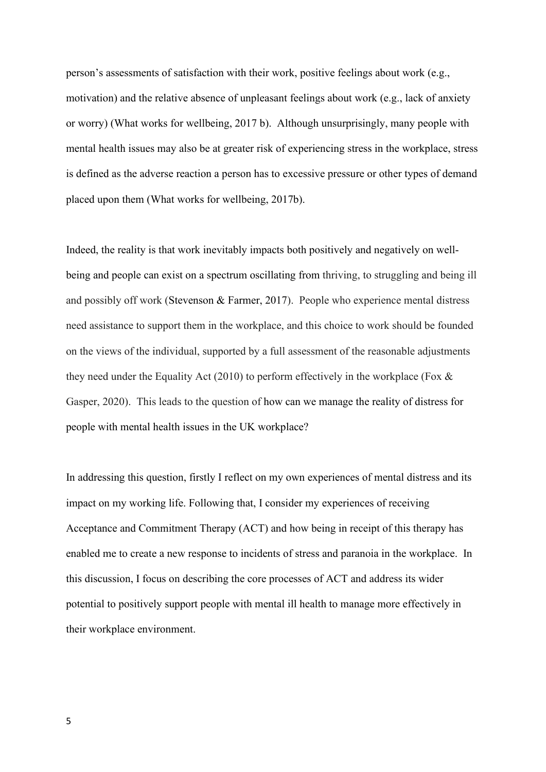person's assessments of satisfaction with their work, positive feelings about work (e.g., motivation) and the relative absence of unpleasant feelings about work (e.g., lack of anxiety or worry) (What works for wellbeing, 2017 b). Although unsurprisingly, many people with mental health issues may also be at greater risk of experiencing stress in the workplace, stress is defined as the adverse reaction a person has to excessive pressure or other types of demand placed upon them (What works for wellbeing, 2017b).

Indeed, the reality is that work inevitably impacts both positively and negatively on wellbeing and people can exist on a spectrum oscillating from thriving, to struggling and being ill and possibly off work (Stevenson & Farmer, 2017). People who experience mental distress need assistance to support them in the workplace, and this choice to work should be founded on the views of the individual, supported by a full assessment of the reasonable adjustments they need under the Equality Act (2010) to perform effectively in the workplace (Fox & Gasper, 2020). This leads to the question of how can we manage the reality of distress for people with mental health issues in the UK workplace?

In addressing this question, firstly I reflect on my own experiences of mental distress and its impact on my working life. Following that, I consider my experiences of receiving Acceptance and Commitment Therapy (ACT) and how being in receipt of this therapy has enabled me to create a new response to incidents of stress and paranoia in the workplace. In this discussion, I focus on describing the core processes of ACT and address its wider potential to positively support people with mental ill health to manage more effectively in their workplace environment.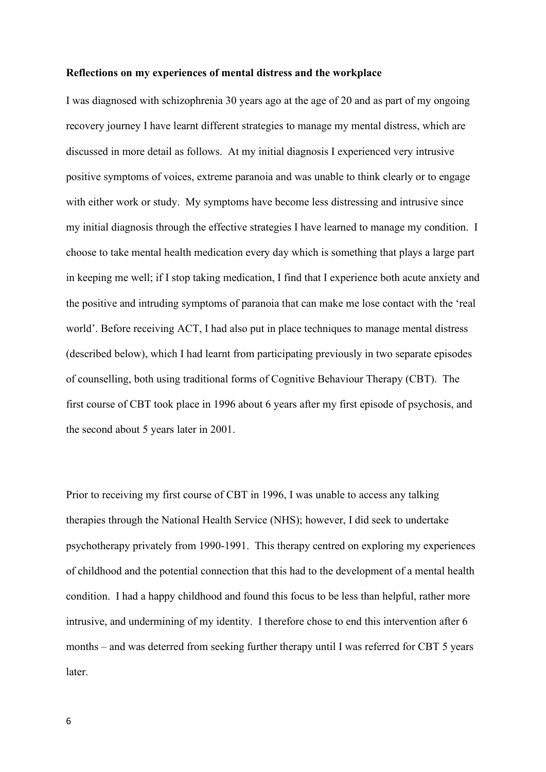#### **Reflections on my experiences of mental distress and the workplace**

I was diagnosed with schizophrenia 30 years ago at the age of 20 and as part of my ongoing recovery journey I have learnt different strategies to manage my mental distress, which are discussed in more detail as follows. At my initial diagnosis I experienced very intrusive positive symptoms of voices, extreme paranoia and was unable to think clearly or to engage with either work or study. My symptoms have become less distressing and intrusive since my initial diagnosis through the effective strategies I have learned to manage my condition. I choose to take mental health medication every day which is something that plays a large part in keeping me well; if I stop taking medication, I find that I experience both acute anxiety and the positive and intruding symptoms of paranoia that can make me lose contact with the 'real world'. Before receiving ACT, I had also put in place techniques to manage mental distress (described below), which I had learnt from participating previously in two separate episodes of counselling, both using traditional forms of Cognitive Behaviour Therapy (CBT). The first course of CBT took place in 1996 about 6 years after my first episode of psychosis, and the second about 5 years later in 2001.

Prior to receiving my first course of CBT in 1996, I was unable to access any talking therapies through the National Health Service (NHS); however, I did seek to undertake psychotherapy privately from 1990-1991. This therapy centred on exploring my experiences of childhood and the potential connection that this had to the development of a mental health condition. I had a happy childhood and found this focus to be less than helpful, rather more intrusive, and undermining of my identity. I therefore chose to end this intervention after 6 months – and was deterred from seeking further therapy until I was referred for CBT 5 years later.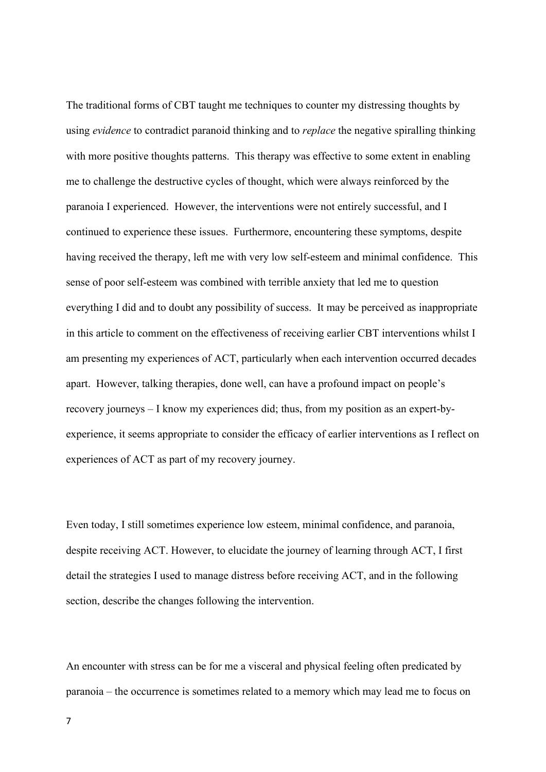The traditional forms of CBT taught me techniques to counter my distressing thoughts by using *evidence* to contradict paranoid thinking and to *replace* the negative spiralling thinking with more positive thoughts patterns. This therapy was effective to some extent in enabling me to challenge the destructive cycles of thought, which were always reinforced by the paranoia I experienced. However, the interventions were not entirely successful, and I continued to experience these issues. Furthermore, encountering these symptoms, despite having received the therapy, left me with very low self-esteem and minimal confidence. This sense of poor self-esteem was combined with terrible anxiety that led me to question everything I did and to doubt any possibility of success. It may be perceived as inappropriate in this article to comment on the effectiveness of receiving earlier CBT interventions whilst I am presenting my experiences of ACT, particularly when each intervention occurred decades apart. However, talking therapies, done well, can have a profound impact on people's recovery journeys – I know my experiences did; thus, from my position as an expert-byexperience, it seems appropriate to consider the efficacy of earlier interventions as I reflect on experiences of ACT as part of my recovery journey.

Even today, I still sometimes experience low esteem, minimal confidence, and paranoia, despite receiving ACT. However, to elucidate the journey of learning through ACT, I first detail the strategies I used to manage distress before receiving ACT, and in the following section, describe the changes following the intervention.

An encounter with stress can be for me a visceral and physical feeling often predicated by paranoia – the occurrence is sometimes related to a memory which may lead me to focus on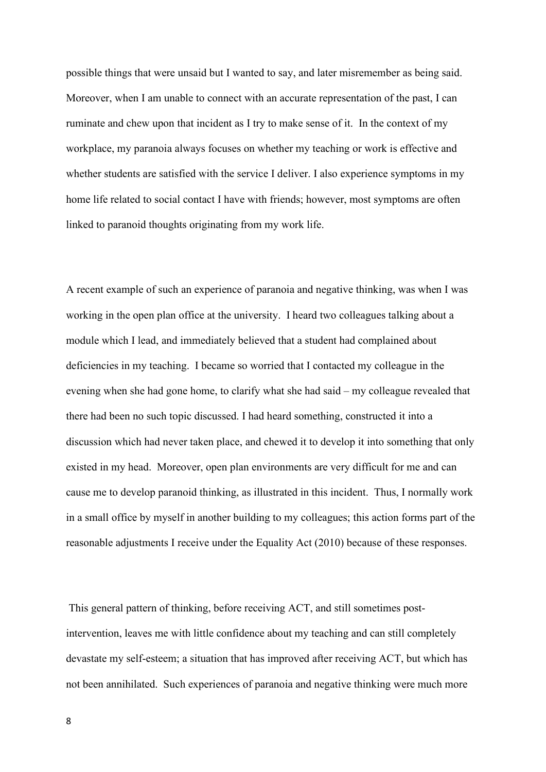possible things that were unsaid but I wanted to say, and later misremember as being said. Moreover, when I am unable to connect with an accurate representation of the past, I can ruminate and chew upon that incident as I try to make sense of it. In the context of my workplace, my paranoia always focuses on whether my teaching or work is effective and whether students are satisfied with the service I deliver. I also experience symptoms in my home life related to social contact I have with friends; however, most symptoms are often linked to paranoid thoughts originating from my work life.

A recent example of such an experience of paranoia and negative thinking, was when I was working in the open plan office at the university. I heard two colleagues talking about a module which I lead, and immediately believed that a student had complained about deficiencies in my teaching. I became so worried that I contacted my colleague in the evening when she had gone home, to clarify what she had said – my colleague revealed that there had been no such topic discussed. I had heard something, constructed it into a discussion which had never taken place, and chewed it to develop it into something that only existed in my head. Moreover, open plan environments are very difficult for me and can cause me to develop paranoid thinking, as illustrated in this incident. Thus, I normally work in a small office by myself in another building to my colleagues; this action forms part of the reasonable adjustments I receive under the Equality Act (2010) because of these responses.

This general pattern of thinking, before receiving ACT, and still sometimes postintervention, leaves me with little confidence about my teaching and can still completely devastate my self-esteem; a situation that has improved after receiving ACT, but which has not been annihilated. Such experiences of paranoia and negative thinking were much more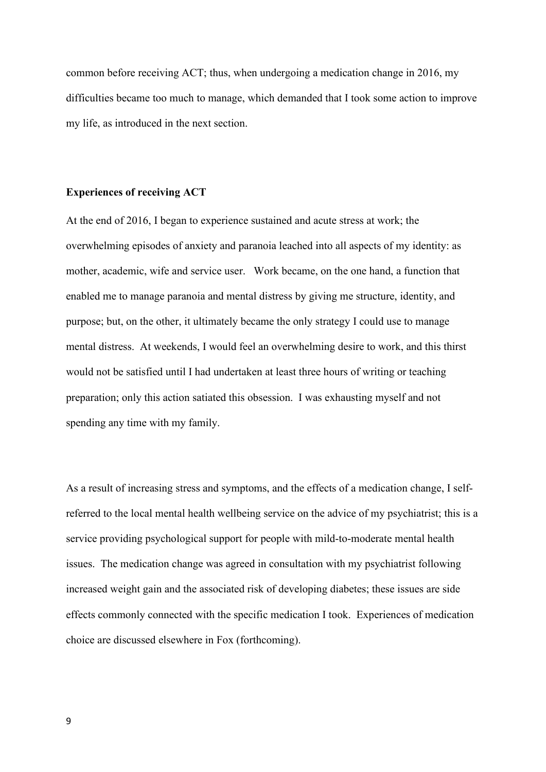common before receiving ACT; thus, when undergoing a medication change in 2016, my difficulties became too much to manage, which demanded that I took some action to improve my life, as introduced in the next section.

### **Experiences of receiving ACT**

At the end of 2016, I began to experience sustained and acute stress at work; the overwhelming episodes of anxiety and paranoia leached into all aspects of my identity: as mother, academic, wife and service user. Work became, on the one hand, a function that enabled me to manage paranoia and mental distress by giving me structure, identity, and purpose; but, on the other, it ultimately became the only strategy I could use to manage mental distress. At weekends, I would feel an overwhelming desire to work, and this thirst would not be satisfied until I had undertaken at least three hours of writing or teaching preparation; only this action satiated this obsession. I was exhausting myself and not spending any time with my family.

As a result of increasing stress and symptoms, and the effects of a medication change, I selfreferred to the local mental health wellbeing service on the advice of my psychiatrist; this is a service providing psychological support for people with mild-to-moderate mental health issues. The medication change was agreed in consultation with my psychiatrist following increased weight gain and the associated risk of developing diabetes; these issues are side effects commonly connected with the specific medication I took. Experiences of medication choice are discussed elsewhere in Fox (forthcoming).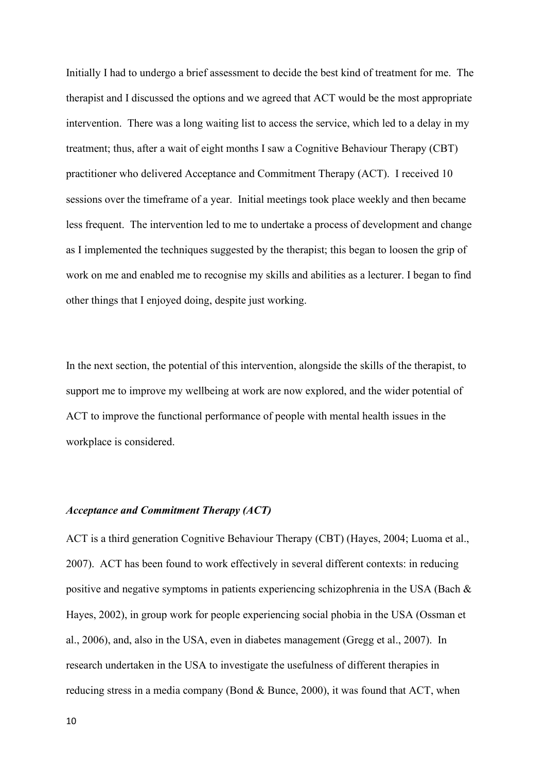Initially I had to undergo a brief assessment to decide the best kind of treatment for me. The therapist and I discussed the options and we agreed that ACT would be the most appropriate intervention. There was a long waiting list to access the service, which led to a delay in my treatment; thus, after a wait of eight months I saw a Cognitive Behaviour Therapy (CBT) practitioner who delivered Acceptance and Commitment Therapy (ACT). I received 10 sessions over the timeframe of a year. Initial meetings took place weekly and then became less frequent. The intervention led to me to undertake a process of development and change as I implemented the techniques suggested by the therapist; this began to loosen the grip of work on me and enabled me to recognise my skills and abilities as a lecturer. I began to find other things that I enjoyed doing, despite just working.

In the next section, the potential of this intervention, alongside the skills of the therapist, to support me to improve my wellbeing at work are now explored, and the wider potential of ACT to improve the functional performance of people with mental health issues in the workplace is considered.

## *Acceptance and Commitment Therapy (ACT)*

ACT is a third generation Cognitive Behaviour Therapy (CBT) (Hayes, 2004; Luoma et al., 2007). ACT has been found to work effectively in several different contexts: in reducing positive and negative symptoms in patients experiencing schizophrenia in the USA (Bach & Hayes, 2002), in group work for people experiencing social phobia in the USA (Ossman et al., 2006), and, also in the USA, even in diabetes management (Gregg et al., 2007). In research undertaken in the USA to investigate the usefulness of different therapies in reducing stress in a media company (Bond & Bunce, 2000), it was found that ACT, when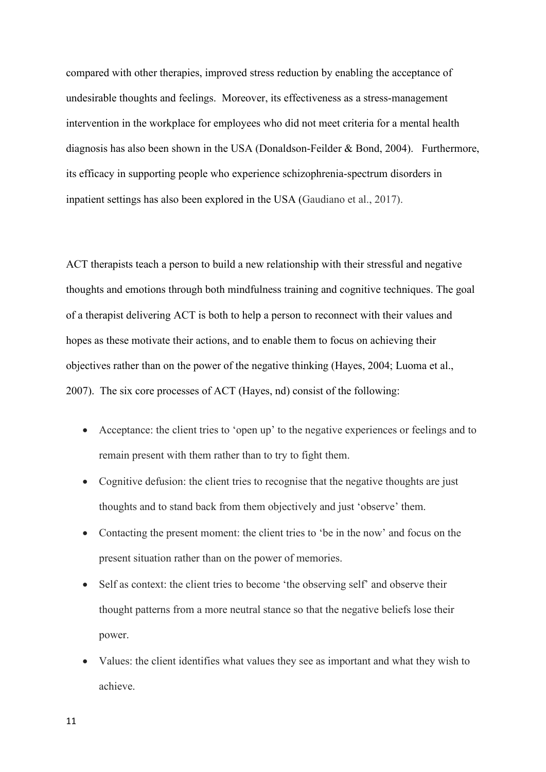compared with other therapies, improved stress reduction by enabling the acceptance of undesirable thoughts and feelings. Moreover, its effectiveness as a stress-management intervention in the workplace for employees who did not meet criteria for a mental health diagnosis has also been shown in the USA (Donaldson-Feilder & Bond, 2004). Furthermore, its efficacy in supporting people who experience schizophrenia-spectrum disorders in inpatient settings has also been explored in the USA (Gaudiano et al., 2017).

ACT therapists teach a person to build a new relationship with their stressful and negative thoughts and emotions through both mindfulness training and cognitive techniques. The goal of a therapist delivering ACT is both to help a person to reconnect with their values and hopes as these motivate their actions, and to enable them to focus on achieving their objectives rather than on the power of the negative thinking (Hayes, 2004; Luoma et al., 2007). The six core processes of ACT (Hayes, nd) consist of the following:

- Acceptance: the client tries to 'open up' to the negative experiences or feelings and to remain present with them rather than to try to fight them.
- Cognitive defusion: the client tries to recognise that the negative thoughts are just thoughts and to stand back from them objectively and just 'observe' them.
- Contacting the present moment: the client tries to 'be in the now' and focus on the present situation rather than on the power of memories.
- Self as context: the client tries to become 'the observing self' and observe their thought patterns from a more neutral stance so that the negative beliefs lose their power.
- Values: the client identifies what values they see as important and what they wish to achieve.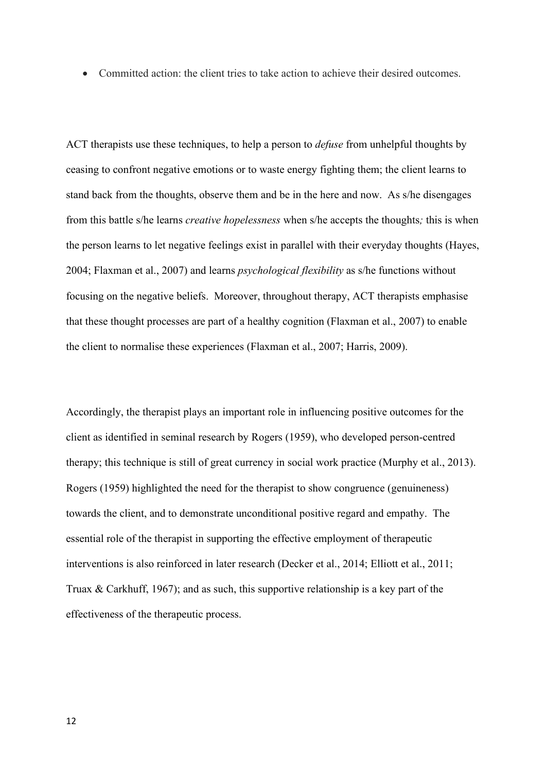• Committed action: the client tries to take action to achieve their desired outcomes.

ACT therapists use these techniques, to help a person to *defuse* from unhelpful thoughts by ceasing to confront negative emotions or to waste energy fighting them; the client learns to stand back from the thoughts, observe them and be in the here and now. As s/he disengages from this battle s/he learns *creative hopelessness* when s/he accepts the thoughts*;* this is when the person learns to let negative feelings exist in parallel with their everyday thoughts (Hayes, 2004; Flaxman et al., 2007) and learns *psychological flexibility* as s/he functions without focusing on the negative beliefs. Moreover, throughout therapy, ACT therapists emphasise that these thought processes are part of a healthy cognition (Flaxman et al., 2007) to enable the client to normalise these experiences (Flaxman et al., 2007; Harris, 2009).

Accordingly, the therapist plays an important role in influencing positive outcomes for the client as identified in seminal research by Rogers (1959), who developed person-centred therapy; this technique is still of great currency in social work practice (Murphy et al., 2013). Rogers (1959) highlighted the need for the therapist to show congruence (genuineness) towards the client, and to demonstrate unconditional positive regard and empathy. The essential role of the therapist in supporting the effective employment of therapeutic interventions is also reinforced in later research [\(Decker](https://www.ncbi.nlm.nih.gov/pubmed/?term=Decker%20SE%5BAuthor%5D&cauthor=true&cauthor_uid=23481373) et al., 2014; Elliott et al., 2011; Truax & Carkhuff, 1967); and as such, this supportive relationship is a key part of the effectiveness of the therapeutic process.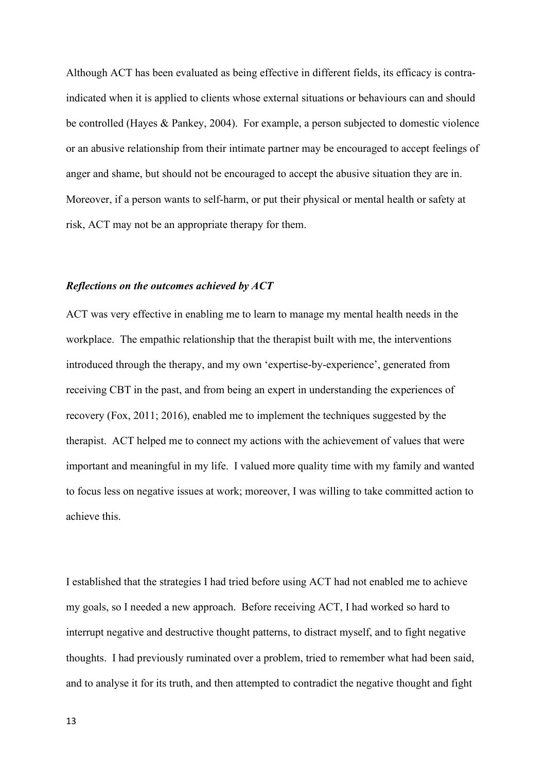Although ACT has been evaluated as being effective in different fields, its efficacy is contraindicated when it is applied to clients whose external situations or behaviours can and should be controlled (Hayes & Pankey, 2004). For example, a person subjected to domestic violence or an abusive relationship from their intimate partner may be encouraged to accept feelings of anger and shame, but should not be encouraged to accept the abusive situation they are in. Moreover, if a person wants to self-harm, or put their physical or mental health or safety at risk, ACT may not be an appropriate therapy for them.

#### *Reflections on the outcomes achieved by ACT*

ACT was very effective in enabling me to learn to manage my mental health needs in the workplace. The empathic relationship that the therapist built with me, the interventions introduced through the therapy, and my own 'expertise-by-experience', generated from receiving CBT in the past, and from being an expert in understanding the experiences of recovery (Fox, 2011; 2016), enabled me to implement the techniques suggested by the therapist. ACT helped me to connect my actions with the achievement of values that were important and meaningful in my life. I valued more quality time with my family and wanted to focus less on negative issues at work; moreover, I was willing to take committed action to achieve this.

I established that the strategies I had tried before using ACT had not enabled me to achieve my goals, so I needed a new approach. Before receiving ACT, I had worked so hard to interrupt negative and destructive thought patterns, to distract myself, and to fight negative thoughts. I had previously ruminated over a problem, tried to remember what had been said, and to analyse it for its truth, and then attempted to contradict the negative thought and fight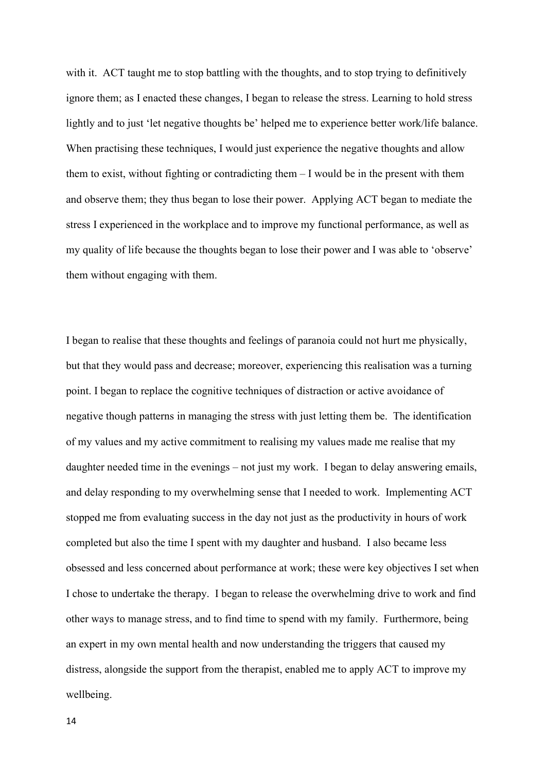with it. ACT taught me to stop battling with the thoughts, and to stop trying to definitively ignore them; as I enacted these changes, I began to release the stress. Learning to hold stress lightly and to just 'let negative thoughts be' helped me to experience better work/life balance. When practising these techniques, I would just experience the negative thoughts and allow them to exist, without fighting or contradicting them – I would be in the present with them and observe them; they thus began to lose their power. Applying ACT began to mediate the stress I experienced in the workplace and to improve my functional performance, as well as my quality of life because the thoughts began to lose their power and I was able to 'observe' them without engaging with them.

I began to realise that these thoughts and feelings of paranoia could not hurt me physically, but that they would pass and decrease; moreover, experiencing this realisation was a turning point. I began to replace the cognitive techniques of distraction or active avoidance of negative though patterns in managing the stress with just letting them be. The identification of my values and my active commitment to realising my values made me realise that my daughter needed time in the evenings – not just my work. I began to delay answering emails, and delay responding to my overwhelming sense that I needed to work. Implementing ACT stopped me from evaluating success in the day not just as the productivity in hours of work completed but also the time I spent with my daughter and husband. I also became less obsessed and less concerned about performance at work; these were key objectives I set when I chose to undertake the therapy. I began to release the overwhelming drive to work and find other ways to manage stress, and to find time to spend with my family. Furthermore, being an expert in my own mental health and now understanding the triggers that caused my distress, alongside the support from the therapist, enabled me to apply ACT to improve my wellbeing.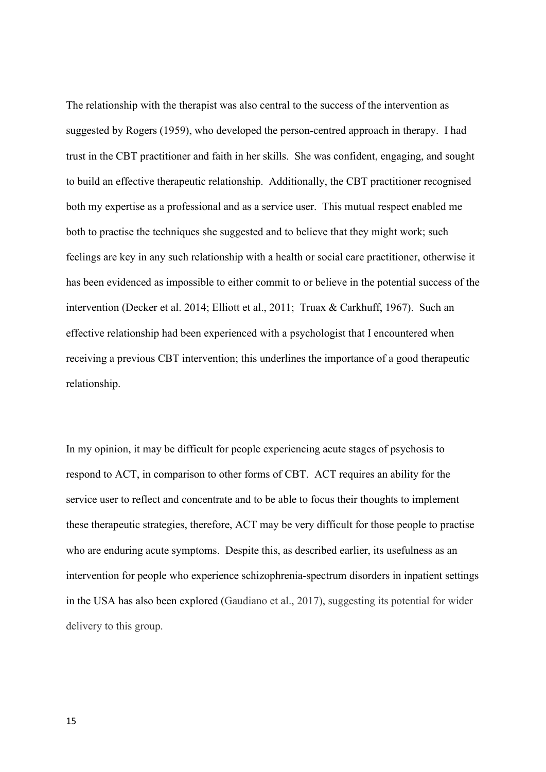The relationship with the therapist was also central to the success of the intervention as suggested by Rogers (1959), who developed the person-centred approach in therapy. I had trust in the CBT practitioner and faith in her skills. She was confident, engaging, and sought to build an effective therapeutic relationship. Additionally, the CBT practitioner recognised both my expertise as a professional and as a service user. This mutual respect enabled me both to practise the techniques she suggested and to believe that they might work; such feelings are key in any such relationship with a health or social care practitioner, otherwise it has been evidenced as impossible to either commit to or believe in the potential success of the intervention [\(Decker](https://www.ncbi.nlm.nih.gov/pubmed/?term=Decker%20SE%5BAuthor%5D&cauthor=true&cauthor_uid=23481373) et al. 2014; Elliott et al., 2011; Truax & Carkhuff, 1967). Such an effective relationship had been experienced with a psychologist that I encountered when receiving a previous CBT intervention; this underlines the importance of a good therapeutic relationship.

In my opinion, it may be difficult for people experiencing acute stages of psychosis to respond to ACT, in comparison to other forms of CBT. ACT requires an ability for the service user to reflect and concentrate and to be able to focus their thoughts to implement these therapeutic strategies, therefore, ACT may be very difficult for those people to practise who are enduring acute symptoms. Despite this, as described earlier, its usefulness as an intervention for people who experience schizophrenia-spectrum disorders in inpatient settings in the USA has also been explored (Gaudiano et al., 2017), suggesting its potential for wider delivery to this group.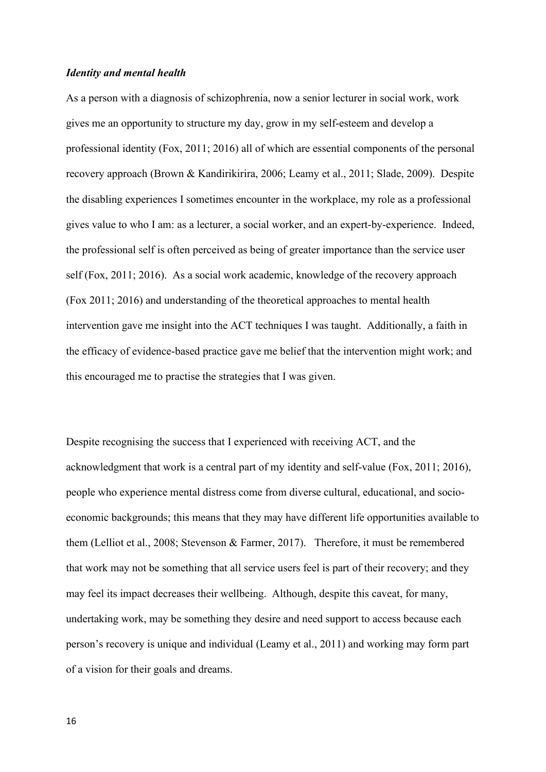### *Identity and mental health*

As a person with a diagnosis of schizophrenia, now a senior lecturer in social work, work gives me an opportunity to structure my day, grow in my self-esteem and develop a professional identity (Fox, 2011; 2016) all of which are essential components of the personal recovery approach (Brown & Kandirikirira, 2006; Leamy et al., 2011; Slade, 2009). Despite the disabling experiences I sometimes encounter in the workplace, my role as a professional gives value to who I am: as a lecturer, a social worker, and an expert-by-experience. Indeed, the professional self is often perceived as being of greater importance than the service user self (Fox, 2011; 2016). As a social work academic, knowledge of the recovery approach (Fox 2011; 2016) and understanding of the theoretical approaches to mental health intervention gave me insight into the ACT techniques I was taught. Additionally, a faith in the efficacy of evidence-based practice gave me belief that the intervention might work; and this encouraged me to practise the strategies that I was given.

Despite recognising the success that I experienced with receiving ACT, and the acknowledgment that work is a central part of my identity and self-value (Fox, 2011; 2016), people who experience mental distress come from diverse cultural, educational, and socioeconomic backgrounds; this means that they may have different life opportunities available to them (Lelliot et al., 2008; Stevenson & Farmer, 2017). Therefore, it must be remembered that work may not be something that all service users feel is part of their recovery; and they may feel its impact decreases their wellbeing. Although, despite this caveat, for many, undertaking work, may be something they desire and need support to access because each person's recovery is unique and individual (Leamy et al., 2011) and working may form part of a vision for their goals and dreams.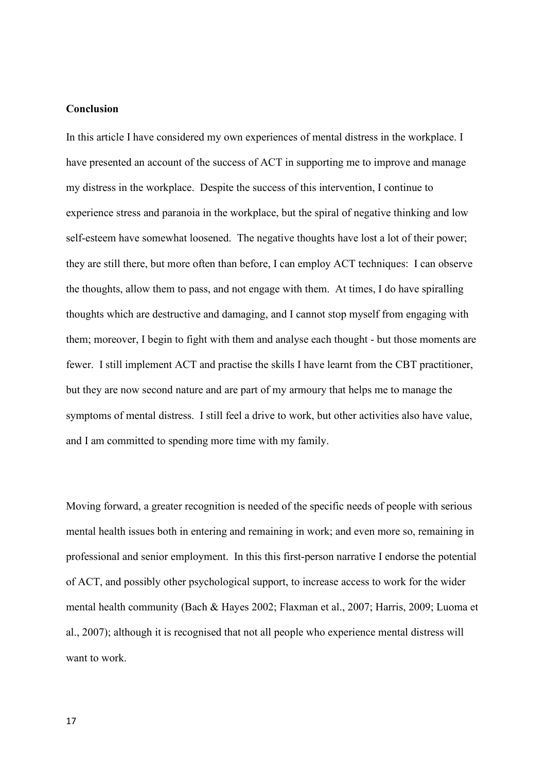## **Conclusion**

In this article I have considered my own experiences of mental distress in the workplace. I have presented an account of the success of ACT in supporting me to improve and manage my distress in the workplace. Despite the success of this intervention, I continue to experience stress and paranoia in the workplace, but the spiral of negative thinking and low self-esteem have somewhat loosened. The negative thoughts have lost a lot of their power; they are still there, but more often than before, I can employ ACT techniques: I can observe the thoughts, allow them to pass, and not engage with them. At times, I do have spiralling thoughts which are destructive and damaging, and I cannot stop myself from engaging with them; moreover, I begin to fight with them and analyse each thought - but those moments are fewer. I still implement ACT and practise the skills I have learnt from the CBT practitioner, but they are now second nature and are part of my armoury that helps me to manage the symptoms of mental distress. I still feel a drive to work, but other activities also have value, and I am committed to spending more time with my family.

Moving forward, a greater recognition is needed of the specific needs of people with serious mental health issues both in entering and remaining in work; and even more so, remaining in professional and senior employment. In this this first-person narrative I endorse the potential of ACT, and possibly other psychological support, to increase access to work for the wider mental health community (Bach & Hayes 2002; Flaxman et al., 2007; Harris, 2009; Luoma et al., 2007); although it is recognised that not all people who experience mental distress will want to work.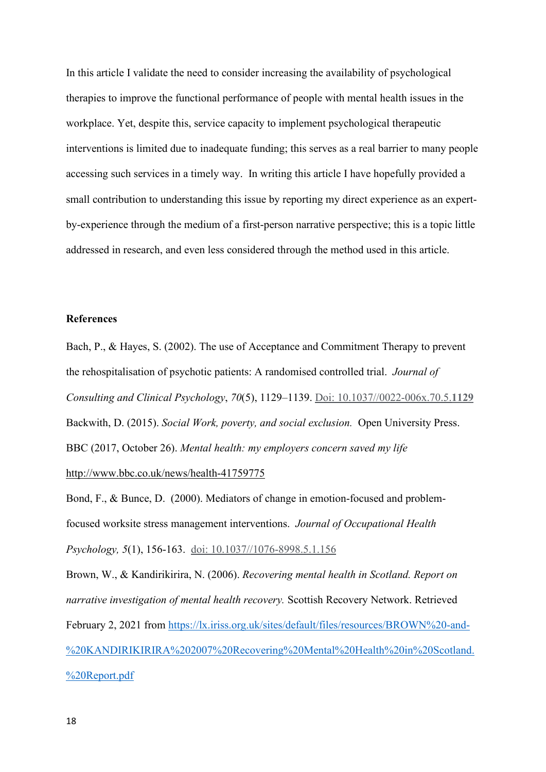In this article I validate the need to consider increasing the availability of psychological therapies to improve the functional performance of people with mental health issues in the workplace. Yet, despite this, service capacity to implement psychological therapeutic interventions is limited due to inadequate funding; this serves as a real barrier to many people accessing such services in a timely way. In writing this article I have hopefully provided a small contribution to understanding this issue by reporting my direct experience as an expertby-experience through the medium of a first-person narrative perspective; this is a topic little addressed in research, and even less considered through the method used in this article.

## **References**

Bach, P., & Hayes, S. (2002). The use of Acceptance and Commitment Therapy to prevent the rehospitalisation of psychotic patients: A randomised controlled trial. *Journal of Consulting and Clinical Psychology*, *70*(5), 1129–1139. Doi: 10.1037//0022-006x.70.5.**1129** Backwith, D. (2015). *Social Work, poverty, and social exclusion.* Open University Press. BBC (2017, October 26). *Mental health: my employers concern saved my life*  <http://www.bbc.co.uk/news/health-41759775>

Bond, F., & Bunce, D. (2000). Mediators of change in emotion-focused and problemfocused worksite stress management interventions. *Journal of Occupational Health Psychology, 5*(1), 156-163. doi: 10.1037//1076-8998.5.1.156

Brown, W., & Kandirikirira, N. (2006). *Recovering mental health in Scotland. Report on narrative investigation of mental health recovery.* Scottish Recovery Network. Retrieved February 2, 2021 from [https://lx.iriss.org.uk/sites/default/files/resources/BROWN%20-and-](https://lx.iriss.org.uk/sites/default/files/resources/BROWN%20-and-%20KANDIRIKIRIRA%202007%20Recovering%20Mental%20Health%20in%20Scotland.%20Report.pdf) [%20KANDIRIKIRIRA%202007%20Recovering%20Mental%20Health%20in%20Scotland.](https://lx.iriss.org.uk/sites/default/files/resources/BROWN%20-and-%20KANDIRIKIRIRA%202007%20Recovering%20Mental%20Health%20in%20Scotland.%20Report.pdf) [%20Report.pdf](https://lx.iriss.org.uk/sites/default/files/resources/BROWN%20-and-%20KANDIRIKIRIRA%202007%20Recovering%20Mental%20Health%20in%20Scotland.%20Report.pdf)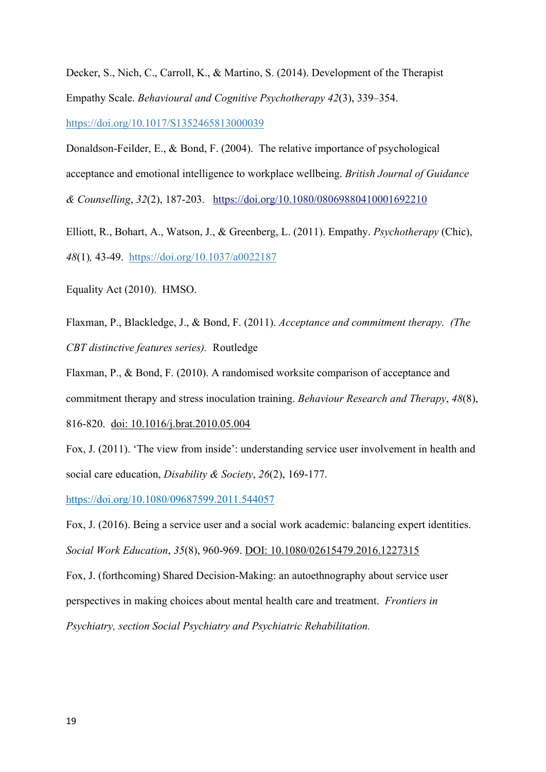[Decker,](https://www.ncbi.nlm.nih.gov/pubmed/?term=Decker%20SE%5BAuthor%5D&cauthor=true&cauthor_uid=23481373) S., [Nich,](https://www.ncbi.nlm.nih.gov/pubmed/?term=Nich%20C%5BAuthor%5D&cauthor=true&cauthor_uid=23481373) C., [Carroll,](https://www.ncbi.nlm.nih.gov/pubmed/?term=Carroll%20KM%5BAuthor%5D&cauthor=true&cauthor_uid=23481373) K., & [Martino,](https://www.ncbi.nlm.nih.gov/pubmed/?term=Martino%20S%5BAuthor%5D&cauthor=true&cauthor_uid=23481373) S. (2014). Development of the Therapist Empathy Scale. *[Behavioural and Cognitive Psychotherapy](https://www.ncbi.nlm.nih.gov/entrez/eutils/elink.fcgi?dbfrom=pubmed&retmode=ref&cmd=prlinks&id=23481373) 42*(3), 339–354. [https://doi.org/10.1017/S1352465813000039](https://psycnet.apa.org/doi/10.1017/S1352465813000039)

Donaldson-Feilder, E., & Bond, F. (2004). The relative importance of psychological acceptance and emotional intelligence to workplace wellbeing. *British Journal of Guidance & Counselling*, *32*(2), 187-203. <https://doi.org/10.1080/08069880410001692210>

Elliott, R., [Bohart, A.](https://www.ncbi.nlm.nih.gov/pubmed/?term=Bohart%20AC%5BAuthor%5D&cauthor=true&cauthor_uid=21401273), [Watson, J.](https://www.ncbi.nlm.nih.gov/pubmed/?term=Watson%20JC%5BAuthor%5D&cauthor=true&cauthor_uid=21401273), & [Greenberg, L.](https://www.ncbi.nlm.nih.gov/pubmed/?term=Greenberg%20LS%5BAuthor%5D&cauthor=true&cauthor_uid=21401273) (2011). Empathy. *[Psychotherapy](https://www.ncbi.nlm.nih.gov/pubmed/21401273)* (Chic), *48*(1)*,* 43-49. [https://doi.org/10.1037/a0022187](https://psycnet.apa.org/doi/10.1037/a0022187)

Equality Act (2010). HMSO.

Flaxman, P., Blackledge, J., & Bond, F. (2011). *Acceptance and commitment therapy. (The CBT distinctive features series).* Routledge

Flaxman, P., & Bond, F. (2010). A randomised worksite comparison of acceptance and commitment therapy and stress inoculation training. *Behaviour Research and Therapy*, *48*(8), 816-820. doi: 10.1016/j.brat.2010.05.004

Fox, J. (2011). 'The view from inside': understanding service user involvement in health and social care education, *Disability & Society*, *26*(2), 169-177.

<https://doi.org/10.1080/09687599.2011.544057>

Fox, J. (2016). Being a service user and a social work academic: balancing expert identities. *Social Work Education*, *35*(8), 960-969. DOI: 10.1080/02615479.2016.1227315

Fox, J. (forthcoming) Shared Decision-Making: an autoethnography about service user perspectives in making choices about mental health care and treatment. *Frontiers in Psychiatry, section Social Psychiatry and Psychiatric Rehabilitation.*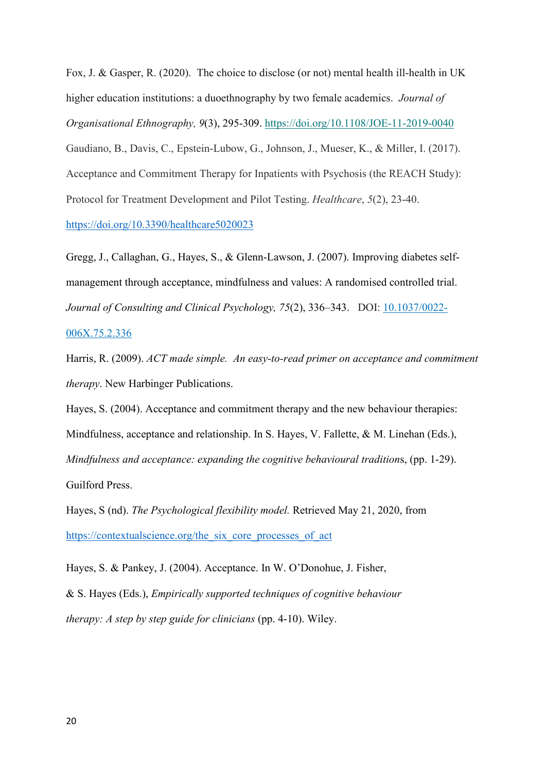Fox, J. & Gasper, R. (2020). The choice to disclose (or not) mental health ill-health in UK higher education institutions: a duoethnography by two female academics. *Journal of Organisational Ethnography, 9*(3), 295-309. <https://doi.org/10.1108/JOE-11-2019-0040> Gaudiano, B., Davis, C., Epstein-Lubow, G., Johnson, J., Mueser, K., & Miller, I. (2017). Acceptance and Commitment Therapy for Inpatients with Psychosis (the REACH Study): Protocol for Treatment Development and Pilot Testing. *Healthcare*, *5*(2), 23-40. <https://doi.org/10.3390/healthcare5020023>

Gregg, J., Callaghan, G., Hayes, S., & Glenn-Lawson, J. (2007). Improving diabetes selfmanagement through acceptance, mindfulness and values: A randomised controlled trial. *Journal of Consulting and Clinical Psychology, 75*(2), 336–343. DOI: [10.1037/0022-](https://doi.org/10.1037/0022-006x.75.2.336)

[006X.75.2.336](https://doi.org/10.1037/0022-006x.75.2.336)

Harris, R. (2009). *ACT made simple. An easy-to-read primer on acceptance and commitment therapy*. New Harbinger Publications.

Hayes, S. (2004). Acceptance and commitment therapy and the new behaviour therapies: Mindfulness, acceptance and relationship. In S. Hayes, V. Fallette, & M. Linehan (Eds.), *Mindfulness and acceptance: expanding the cognitive behavioural tradition*s, (pp. 1-29). Guilford Press.

Hayes, S (nd). *The Psychological flexibility model.* Retrieved May 21, 2020, from https://contextualscience.org/the\_six\_core\_processes\_of\_act

Hayes, S. & Pankey, J. (2004). Acceptance. In W. O'Donohue, J. Fisher,

& S. Hayes (Eds.), *Empirically supported techniques of cognitive behaviour therapy: A step by step guide for clinicians* (pp. 4-10). Wiley.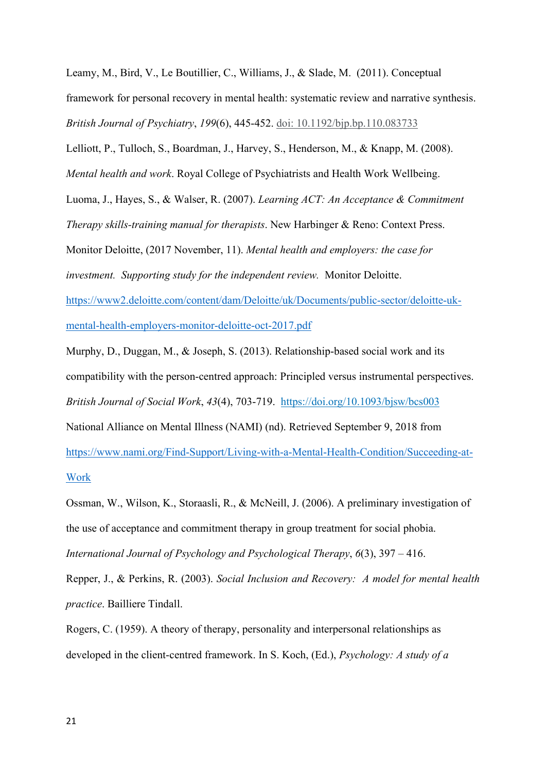Leamy, M., Bird, V., Le Boutillier, C., Williams, J., & Slade, M. (2011). Conceptual framework for personal recovery in mental health: systematic review and narrative synthesis. *British Journal of Psychiatry*, *199*(6), 445-452. doi: 10.1192/bjp.bp.110.083733

Lelliott, P., Tulloch, S., Boardman, J., Harvey, S., Henderson, M., & Knapp, M. (2008).

*Mental health and work*. Royal College of Psychiatrists and Health Work Wellbeing.

Luoma, J., Hayes, S., & Walser, R. (2007). *Learning ACT: An Acceptance & Commitment* 

*Therapy skills-training manual for therapists*. New Harbinger & Reno: Context Press.

Monitor Deloitte, (2017 November, 11). *Mental health and employers: the case for* 

*investment. Supporting study for the independent review.* Monitor Deloitte.

[https://www2.deloitte.com/content/dam/Deloitte/uk/Documents/public-sector/deloitte-uk](https://www2.deloitte.com/content/dam/Deloitte/uk/Documents/public-sector/deloitte-uk-mental-health-employers-monitor-deloitte-oct-2017.pdf)[mental-health-employers-monitor-deloitte-oct-2017.pdf](https://www2.deloitte.com/content/dam/Deloitte/uk/Documents/public-sector/deloitte-uk-mental-health-employers-monitor-deloitte-oct-2017.pdf) 

Murphy, D., Duggan, M., & Joseph, S. (2013). [Relationship-based social work and its](https://primo.anglia.ac.uk/primo-explore/fulldisplay?docid=TN_oxford10.1093/bjsw/bcs003&context=PC&vid=ANG_VU1&lang=en_US&search_scope=CSCOP_APU_DEEP&adaptor=primo_central_multiple_fe&tab=default_tab&query=any,contains,person%20centred%20therapy%20in%20social%20work&sortby=rank&offset=0)  [compatibility with the person-centred approach: Principled versus instrumental perspectives.](https://primo.anglia.ac.uk/primo-explore/fulldisplay?docid=TN_oxford10.1093/bjsw/bcs003&context=PC&vid=ANG_VU1&lang=en_US&search_scope=CSCOP_APU_DEEP&adaptor=primo_central_multiple_fe&tab=default_tab&query=any,contains,person%20centred%20therapy%20in%20social%20work&sortby=rank&offset=0) *British Journal of Social Work*, *43*(4), 703-719. <https://doi.org/10.1093/bjsw/bcs003> National Alliance on Mental Illness (NAMI) (nd). Retrieved September 9, 2018 from [https://www.nami.org/Find-Support/Living-with-a-Mental-Health-Condition/Succeeding-at-](https://www.nami.org/Find-Support/Living-with-a-Mental-Health-Condition/Succeeding-at-Work)[Work](https://www.nami.org/Find-Support/Living-with-a-Mental-Health-Condition/Succeeding-at-Work) 

Ossman, W., Wilson, K., Storaasli, R., & McNeill, J. (2006). A preliminary investigation of the use of acceptance and commitment therapy in group treatment for social phobia. *International Journal of Psychology and Psychological Therapy*, *6*(3), 397 – 416.

Repper, J., & Perkins, R. (2003). *Social Inclusion and Recovery: A model for mental health practice*. Bailliere Tindall.

Rogers, C. (1959). A theory of therapy, personality and interpersonal relationships as developed in the client-centred framework. In S. Koch, (Ed.), *Psychology: A study of a*